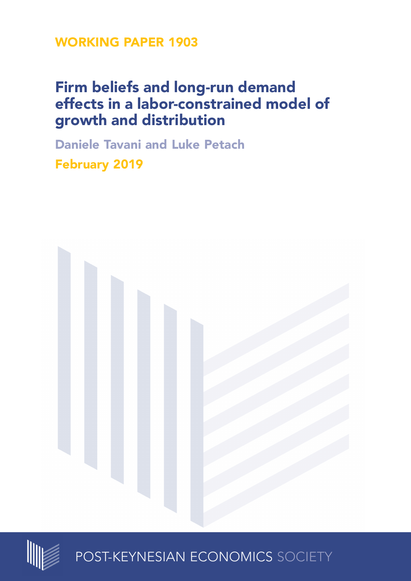**WORKING PAPER 1903**

# **Firm beliefs and long-run demand effects in a labor-constrained model of growth and distribution**

**Daniele Tavani and Luke Petach February 2019**





POST-KEYNESIAN ECONOMICS SOCIETY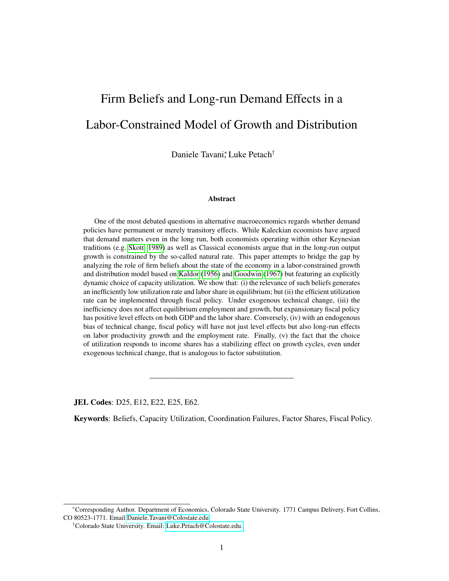# Firm Beliefs and Long-run Demand Effects in a Labor-Constrained Model of Growth and Distribution

Daniele Tavani<sup>\*</sup>, Luke Petach<sup>†</sup>

#### Abstract

One of the most debated questions in alternative macroeconomics regards whether demand policies have permanent or merely transitory effects. While Kaleckian ecoomists have argued that demand matters even in the long run, both economists operating within other Keynesian traditions (e.g. [Skott, 1989\)](#page-20-0) as well as Classical economists argue that in the long-run output growth is constrained by the so-called natural rate. This paper attempts to bridge the gap by analyzing the role of firm beliefs about the state of the economy in a labor-constrained growth and distribution model based on [Kaldor](#page-19-0) [\(1956\)](#page-19-0) and [Goodwin](#page-19-1) [\(1967\)](#page-19-1) but featuring an explicitly dynamic choice of capacity utilization. We show that: (i) the relevance of such beliefs generates an inefficiently low utilization rate and labor share in equilibrium; but (ii) the efficient utilization rate can be implemented through fiscal policy. Under exogenous technical change, (iii) the inefficiency does not affect equilibrium employment and growth, but expansionary fiscal policy has positive level effects on both GDP and the labor share. Conversely, (iv) with an endogenous bias of technical change, fiscal policy will have not just level effects but also long-run effects on labor productivity growth and the employment rate. Finally, (v) the fact that the choice of utilization responds to income shares has a stabilizing effect on growth cycles, even under exogenous technical change, that is analogous to factor substitution.

JEL Codes: D25, E12, E22, E25, E62.

Keywords: Beliefs, Capacity Utilization, Coordination Failures, Factor Shares, Fiscal Policy.

——————————————————

<sup>∗</sup>Corresponding Author. Department of Economics, Colorado State University. 1771 Campus Delivery, Fort Collins, CO 80523-1771. Email[:Daniele.Tavani@Colostate.edu.](mailto:Daniele.Tavani@Colostate.edu)

<sup>†</sup>Colorado State University. Email: [Luke.Petach@Colostate.edu.](mailto:Luke.Petach@Colostate.edu)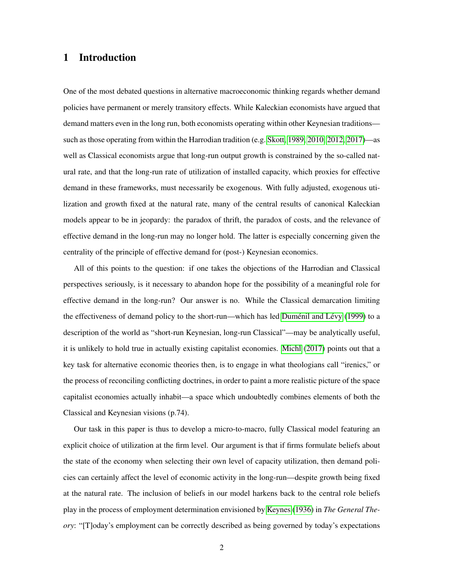# 1 Introduction

One of the most debated questions in alternative macroeconomic thinking regards whether demand policies have permanent or merely transitory effects. While Kaleckian economists have argued that demand matters even in the long run, both economists operating within other Keynesian traditions such as those operating from within the Harrodian tradition (e.g. [Skott, 1989,](#page-20-0) [2010,](#page-20-1) [2012,](#page-20-2) [2017\)](#page-20-3)—as well as Classical economists argue that long-run output growth is constrained by the so-called natural rate, and that the long-run rate of utilization of installed capacity, which proxies for effective demand in these frameworks, must necessarily be exogenous. With fully adjusted, exogenous utilization and growth fixed at the natural rate, many of the central results of canonical Kaleckian models appear to be in jeopardy: the paradox of thrift, the paradox of costs, and the relevance of effective demand in the long-run may no longer hold. The latter is especially concerning given the centrality of the principle of effective demand for (post-) Keynesian economics.

All of this points to the question: if one takes the objections of the Harrodian and Classical perspectives seriously, is it necessary to abandon hope for the possibility of a meaningful role for effective demand in the long-run? Our answer is no. While the Classical demarcation limiting the effectiveness of demand policy to the short-run—which has led Duménil and Lévy [\(1999\)](#page-18-0) to a description of the world as "short-run Keynesian, long-run Classical"—may be analytically useful, it is unlikely to hold true in actually existing capitalist economies. [Michl](#page-19-2) [\(2017\)](#page-19-2) points out that a key task for alternative economic theories then, is to engage in what theologians call "irenics," or the process of reconciling conflicting doctrines, in order to paint a more realistic picture of the space capitalist economies actually inhabit—a space which undoubtedly combines elements of both the Classical and Keynesian visions (p.74).

Our task in this paper is thus to develop a micro-to-macro, fully Classical model featuring an explicit choice of utilization at the firm level. Our argument is that if firms formulate beliefs about the state of the economy when selecting their own level of capacity utilization, then demand policies can certainly affect the level of economic activity in the long-run—despite growth being fixed at the natural rate. The inclusion of beliefs in our model harkens back to the central role beliefs play in the process of employment determination envisioned by [Keynes](#page-19-3) [\(1936\)](#page-19-3) in *The General Theory*: "[T]oday's employment can be correctly described as being governed by today's expectations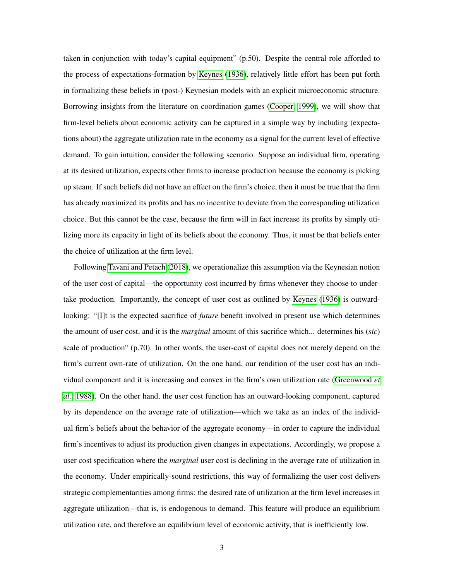taken in conjunction with today's capital equipment" (p.50). Despite the central role afforded to the process of expectations-formation by [Keynes](#page-19-3) [\(1936\)](#page-19-3), relatively little effort has been put forth in formalizing these beliefs in (post-) Keynesian models with an explicit microeconomic structure. Borrowing insights from the literature on coordination games [\(Cooper, 1999\)](#page-18-1), we will show that firm-level beliefs about economic activity can be captured in a simple way by including (expectations about) the aggregate utilization rate in the economy as a signal for the current level of effective demand. To gain intuition, consider the following scenario. Suppose an individual firm, operating at its desired utilization, expects other firms to increase production because the economy is picking up steam. If such beliefs did not have an effect on the firm's choice, then it must be true that the firm has already maximized its profits and has no incentive to deviate from the corresponding utilization choice. But this cannot be the case, because the firm will in fact increase its profits by simply utilizing more its capacity in light of its beliefs about the economy. Thus, it must be that beliefs enter the choice of utilization at the firm level.

Following [Tavani and Petach](#page-20-4) [\(2018\)](#page-20-4), we operationalize this assumption via the Keynesian notion of the user cost of capital—the opportunity cost incurred by firms whenever they choose to undertake production. Importantly, the concept of user cost as outlined by [Keynes](#page-19-3) [\(1936\)](#page-19-3) is outwardlooking: "[I]t is the expected sacrifice of *future* benefit involved in present use which determines the amount of user cost, and it is the *marginal* amount of this sacrifice which... determines his (*sic*) scale of production" (p.70). In other words, the user-cost of capital does not merely depend on the firm's current own-rate of utilization. On the one hand, our rendition of the user cost has an individual component and it is increasing and convex in the firm's own utilization rate [\(Greenwood](#page-19-4) *et [al.](#page-19-4)*, [1988\)](#page-19-4). On the other hand, the user cost function has an outward-looking component, captured by its dependence on the average rate of utilization—which we take as an index of the individual firm's beliefs about the behavior of the aggregate economy—in order to capture the individual firm's incentives to adjust its production given changes in expectations. Accordingly, we propose a user cost specification where the *marginal* user cost is declining in the average rate of utilization in the economy. Under empirically-sound restrictions, this way of formalizing the user cost delivers strategic complementarities among firms: the desired rate of utilization at the firm level increases in aggregate utilization—that is, is endogenous to demand. This feature will produce an equilibrium utilization rate, and therefore an equilibrium level of economic activity, that is inefficiently low.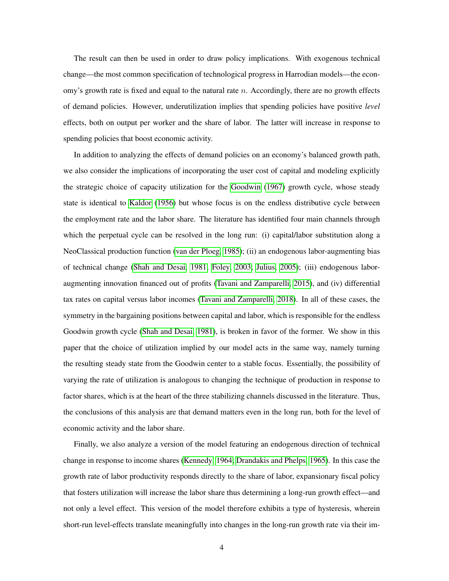The result can then be used in order to draw policy implications. With exogenous technical change—the most common specification of technological progress in Harrodian models—the economy's growth rate is fixed and equal to the natural rate  $n$ . Accordingly, there are no growth effects of demand policies. However, underutilization implies that spending policies have positive *level* effects, both on output per worker and the share of labor. The latter will increase in response to spending policies that boost economic activity.

In addition to analyzing the effects of demand policies on an economy's balanced growth path, we also consider the implications of incorporating the user cost of capital and modeling explicitly the strategic choice of capacity utilization for the [Goodwin](#page-19-1) [\(1967\)](#page-19-1) growth cycle, whose steady state is identical to [Kaldor](#page-19-0) [\(1956\)](#page-19-0) but whose focus is on the endless distributive cycle between the employment rate and the labor share. The literature has identified four main channels through which the perpetual cycle can be resolved in the long run: (i) capital/labor substitution along a NeoClassical production function [\(van der Ploeg, 1985\)](#page-20-5); (ii) an endogenous labor-augmenting bias of technical change [\(Shah and Desai, 1981;](#page-20-6) [Foley, 2003;](#page-19-5) [Julius, 2005\)](#page-19-6); (iii) endogenous laboraugmenting innovation financed out of profits [\(Tavani and Zamparelli, 2015\)](#page-20-7), and (iv) differential tax rates on capital versus labor incomes [\(Tavani and Zamparelli, 2018\)](#page-20-8). In all of these cases, the symmetry in the bargaining positions between capital and labor, which is responsible for the endless Goodwin growth cycle [\(Shah and Desai, 1981\)](#page-20-6), is broken in favor of the former. We show in this paper that the choice of utilization implied by our model acts in the same way, namely turning the resulting steady state from the Goodwin center to a stable focus. Essentially, the possibility of varying the rate of utilization is analogous to changing the technique of production in response to factor shares, which is at the heart of the three stabilizing channels discussed in the literature. Thus, the conclusions of this analysis are that demand matters even in the long run, both for the level of economic activity and the labor share.

Finally, we also analyze a version of the model featuring an endogenous direction of technical change in response to income shares [\(Kennedy, 1964;](#page-19-7) [Drandakis and Phelps, 1965\)](#page-18-2). In this case the growth rate of labor productivity responds directly to the share of labor, expansionary fiscal policy that fosters utilization will increase the labor share thus determining a long-run growth effect—and not only a level effect. This version of the model therefore exhibits a type of hysteresis, wherein short-run level-effects translate meaningfully into changes in the long-run growth rate via their im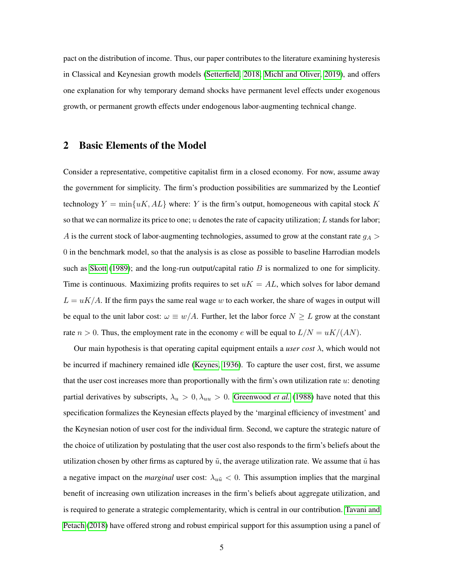pact on the distribution of income. Thus, our paper contributes to the literature examining hysteresis in Classical and Keynesian growth models [\(Setterfield, 2018;](#page-20-9) [Michl and Oliver, 2019\)](#page-20-10), and offers one explanation for why temporary demand shocks have permanent level effects under exogenous growth, or permanent growth effects under endogenous labor-augmenting technical change.

### 2 Basic Elements of the Model

Consider a representative, competitive capitalist firm in a closed economy. For now, assume away the government for simplicity. The firm's production possibilities are summarized by the Leontief technology  $Y = min\{uK, AL\}$  where: Y is the firm's output, homogeneous with capital stock K so that we can normalize its price to one; u denotes the rate of capacity utilization; L stands for labor; A is the current stock of labor-augmenting technologies, assumed to grow at the constant rate  $g_A$  > 0 in the benchmark model, so that the analysis is as close as possible to baseline Harrodian models such as [Skott](#page-20-0) [\(1989\)](#page-20-0); and the long-run output/capital ratio  $B$  is normalized to one for simplicity. Time is continuous. Maximizing profits requires to set  $uK = AL$ , which solves for labor demand  $L = uK/A$ . If the firm pays the same real wage w to each worker, the share of wages in output will be equal to the unit labor cost:  $\omega \equiv w/A$ . Further, let the labor force  $N \geq L$  grow at the constant rate  $n > 0$ . Thus, the employment rate in the economy e will be equal to  $L/N = uK/(AN)$ .

Our main hypothesis is that operating capital equipment entails a *user cost* λ, which would not be incurred if machinery remained idle [\(Keynes, 1936\)](#page-19-3). To capture the user cost, first, we assume that the user cost increases more than proportionally with the firm's own utilization rate  $u$ : denoting partial derivatives by subscripts,  $\lambda_u > 0$ ,  $\lambda_{uu} > 0$ . [Greenwood](#page-19-4) *et al.* [\(1988\)](#page-19-4) have noted that this specification formalizes the Keynesian effects played by the 'marginal efficiency of investment' and the Keynesian notion of user cost for the individual firm. Second, we capture the strategic nature of the choice of utilization by postulating that the user cost also responds to the firm's beliefs about the utilization chosen by other firms as captured by  $\tilde{u}$ , the average utilization rate. We assume that  $\tilde{u}$  has a negative impact on the *marginal* user cost:  $\lambda_{u\tilde{u}} < 0$ . This assumption implies that the marginal benefit of increasing own utilization increases in the firm's beliefs about aggregate utilization, and is required to generate a strategic complementarity, which is central in our contribution. [Tavani and](#page-20-4) [Petach](#page-20-4) [\(2018\)](#page-20-4) have offered strong and robust empirical support for this assumption using a panel of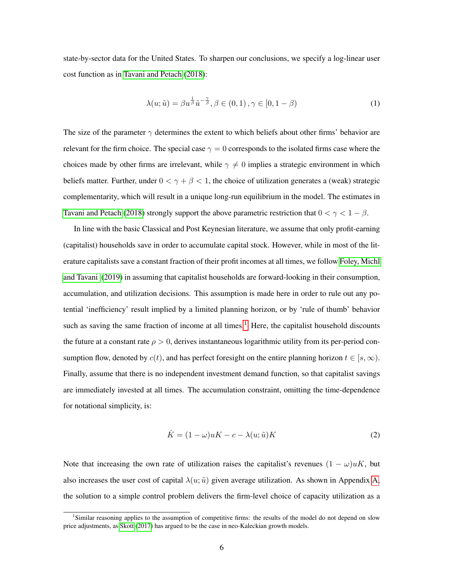state-by-sector data for the United States. To sharpen our conclusions, we specify a log-linear user cost function as in [Tavani and Petach](#page-20-4) [\(2018\)](#page-20-4):

<span id="page-6-1"></span>
$$
\lambda(u; \tilde{u}) = \beta u^{\frac{1}{\beta}} \tilde{u}^{-\frac{\gamma}{\beta}}, \beta \in (0, 1), \gamma \in [0, 1 - \beta)
$$
\n
$$
(1)
$$

The size of the parameter  $\gamma$  determines the extent to which beliefs about other firms' behavior are relevant for the firm choice. The special case  $\gamma = 0$  corresponds to the isolated firms case where the choices made by other firms are irrelevant, while  $\gamma \neq 0$  implies a strategic environment in which beliefs matter. Further, under  $0 < \gamma + \beta < 1$ , the choice of utilization generates a (weak) strategic complementarity, which will result in a unique long-run equilibrium in the model. The estimates in [Tavani and Petach](#page-20-4) [\(2018\)](#page-20-4) strongly support the above parametric restriction that  $0 < \gamma < 1 - \beta$ .

In line with the basic Classical and Post Keynesian literature, we assume that only profit-earning (capitalist) households save in order to accumulate capital stock. However, while in most of the literature capitalists save a constant fraction of their profit incomes at all times, we follow [Foley, Michl](#page-19-8) [and Tavani](#page-19-8) [\(2019\)](#page-19-8) in assuming that capitalist households are forward-looking in their consumption, accumulation, and utilization decisions. This assumption is made here in order to rule out any potential 'inefficiency' result implied by a limited planning horizon, or by 'rule of thumb' behavior such as saving the same fraction of income at all times.<sup>[1](#page-6-0)</sup> Here, the capitalist household discounts the future at a constant rate  $\rho > 0$ , derives instantaneous logarithmic utility from its per-period consumption flow, denoted by  $c(t)$ , and has perfect foresight on the entire planning horizon  $t \in [s, \infty)$ . Finally, assume that there is no independent investment demand function, so that capitalist savings are immediately invested at all times. The accumulation constraint, omitting the time-dependence for notational simplicity, is:

$$
\dot{K} = (1 - \omega)uK - c - \lambda(u; \tilde{u})K
$$
\n(2)

Note that increasing the own rate of utilization raises the capitalist's revenues  $(1 - \omega)uK$ , but also increases the user cost of capital  $\lambda(u; \tilde{u})$  given average utilization. As shown in Appendix [A,](#page-15-0) the solution to a simple control problem delivers the firm-level choice of capacity utilization as a

<span id="page-6-0"></span><sup>&</sup>lt;sup>1</sup>Similar reasoning applies to the assumption of competitive firms: the results of the model do not depend on slow price adjustments, as [Skott](#page-20-3) [\(2017\)](#page-20-3) has argued to be the case in neo-Kaleckian growth models.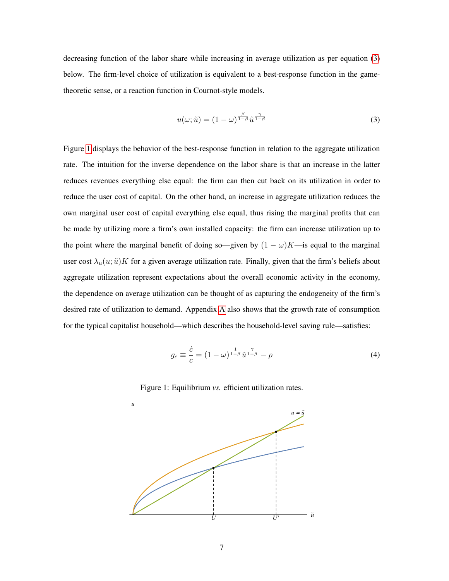decreasing function of the labor share while increasing in average utilization as per equation [\(3\)](#page-7-0) below. The firm-level choice of utilization is equivalent to a best-response function in the gametheoretic sense, or a reaction function in Cournot-style models.

<span id="page-7-0"></span>
$$
u(\omega; \tilde{u}) = (1 - \omega)^{\frac{\beta}{1 - \beta}} \tilde{u}^{\frac{\gamma}{1 - \beta}}
$$
\n(3)

Figure [1](#page-7-1) displays the behavior of the best-response function in relation to the aggregate utilization rate. The intuition for the inverse dependence on the labor share is that an increase in the latter reduces revenues everything else equal: the firm can then cut back on its utilization in order to reduce the user cost of capital. On the other hand, an increase in aggregate utilization reduces the own marginal user cost of capital everything else equal, thus rising the marginal profits that can be made by utilizing more a firm's own installed capacity: the firm can increase utilization up to the point where the marginal benefit of doing so—given by  $(1 - \omega)K$ —is equal to the marginal user cost  $\lambda_u(u; \tilde{u})K$  for a given average utilization rate. Finally, given that the firm's beliefs about aggregate utilization represent expectations about the overall economic activity in the economy, the dependence on average utilization can be thought of as capturing the endogeneity of the firm's desired rate of utilization to demand. Appendix [A](#page-15-0) also shows that the growth rate of consumption for the typical capitalist household—which describes the household-level saving rule—satisfies:

<span id="page-7-2"></span>
$$
g_c \equiv \frac{\dot{c}}{c} = (1 - \omega)^{\frac{1}{1 - \beta}} \tilde{u}^{\frac{\gamma}{1 - \beta}} - \rho \tag{4}
$$

<span id="page-7-1"></span>

Figure 1: Equilibrium *vs.* efficient utilization rates.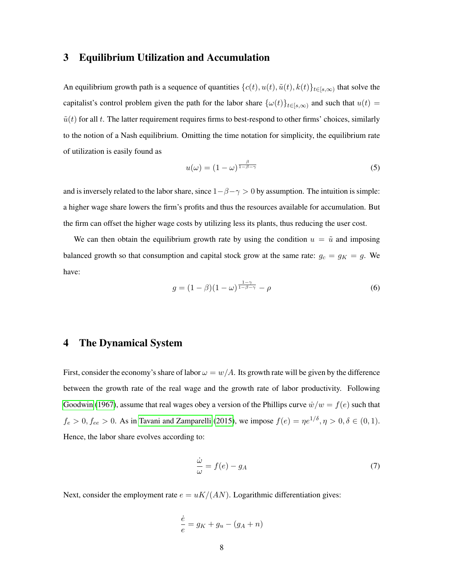# 3 Equilibrium Utilization and Accumulation

An equilibrium growth path is a sequence of quantities  $\{c(t), u(t), \tilde{u}(t), k(t)\}_{t\in [s,\infty)}$  that solve the capitalist's control problem given the path for the labor share  $\{\omega(t)\}_{t\in[s,\infty)}$  and such that  $u(t)$  =  $\tilde{u}(t)$  for all t. The latter requirement requires firms to best-respond to other firms' choices, similarly to the notion of a Nash equilibrium. Omitting the time notation for simplicity, the equilibrium rate of utilization is easily found as

<span id="page-8-0"></span>
$$
u(\omega) = (1 - \omega)^{\frac{\beta}{1 - \beta - \gamma}}
$$
\n(5)

and is inversely related to the labor share, since  $1-\beta-\gamma > 0$  by assumption. The intuition is simple: a higher wage share lowers the firm's profits and thus the resources available for accumulation. But the firm can offset the higher wage costs by utilizing less its plants, thus reducing the user cost.

We can then obtain the equilibrium growth rate by using the condition  $u = \tilde{u}$  and imposing balanced growth so that consumption and capital stock grow at the same rate:  $g_c = g_K = g$ . We have:

<span id="page-8-2"></span>
$$
g = (1 - \beta)(1 - \omega)^{\frac{1 - \gamma}{1 - \beta - \gamma}} - \rho \tag{6}
$$

## 4 The Dynamical System

First, consider the economy's share of labor  $\omega = w/A$ . Its growth rate will be given by the difference between the growth rate of the real wage and the growth rate of labor productivity. Following [Goodwin](#page-19-1) [\(1967\)](#page-19-1), assume that real wages obey a version of the Phillips curve  $\dot{w}/w = f(e)$  such that  $f_e > 0, f_{ee} > 0$ . As in [Tavani and Zamparelli](#page-20-7) [\(2015\)](#page-20-7), we impose  $f(e) = \eta e^{1/\delta}, \eta > 0, \delta \in (0, 1)$ . Hence, the labor share evolves according to:

<span id="page-8-1"></span>
$$
\frac{\dot{\omega}}{\omega} = f(e) - g_A \tag{7}
$$

Next, consider the employment rate  $e = uK/(AN)$ . Logarithmic differentiation gives:

$$
\frac{\dot{e}}{e}=g_K+g_u-(g_A+n)
$$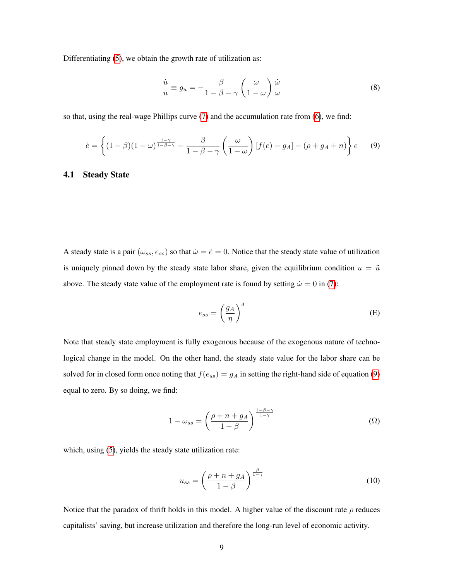Differentiating [\(5\)](#page-8-0), we obtain the growth rate of utilization as:

$$
\frac{\dot{u}}{u} \equiv g_u = -\frac{\beta}{1 - \beta - \gamma} \left(\frac{\omega}{1 - \omega}\right) \frac{\dot{\omega}}{\omega} \tag{8}
$$

so that, using the real-wage Phillips curve [\(7\)](#page-8-1) and the accumulation rate from [\(6\)](#page-8-2), we find:

<span id="page-9-0"></span>
$$
\dot{e} = \left\{ (1 - \beta)(1 - \omega)^{\frac{1 - \gamma}{1 - \beta - \gamma}} - \frac{\beta}{1 - \beta - \gamma} \left( \frac{\omega}{1 - \omega} \right) [f(e) - g_A] - (\rho + g_A + n) \right\} e \qquad (9)
$$

#### 4.1 Steady State

A steady state is a pair  $(\omega_{ss}, e_{ss})$  so that  $\dot{\omega} = \dot{e} = 0$ . Notice that the steady state value of utilization is uniquely pinned down by the steady state labor share, given the equilibrium condition  $u = \tilde{u}$ above. The steady state value of the employment rate is found by setting  $\dot{\omega} = 0$  in [\(7\)](#page-8-1):

<span id="page-9-1"></span>
$$
e_{ss} = \left(\frac{g_A}{\eta}\right)^{\delta} \tag{E}
$$

Note that steady state employment is fully exogenous because of the exogenous nature of technological change in the model. On the other hand, the steady state value for the labor share can be solved for in closed form once noting that  $f(e_{ss}) = g_A$  in setting the right-hand side of equation [\(9\)](#page-9-0) equal to zero. By so doing, we find:

$$
1 - \omega_{ss} = \left(\frac{\rho + n + g_A}{1 - \beta}\right)^{\frac{1 - \beta - \gamma}{1 - \gamma}}
$$
(Ω)

which, using [\(5\)](#page-8-0), yields the steady state utilization rate:

$$
u_{ss} = \left(\frac{\rho + n + g_A}{1 - \beta}\right)^{\frac{\beta}{1 - \gamma}}
$$
(10)

Notice that the paradox of thrift holds in this model. A higher value of the discount rate  $\rho$  reduces capitalists' saving, but increase utilization and therefore the long-run level of economic activity.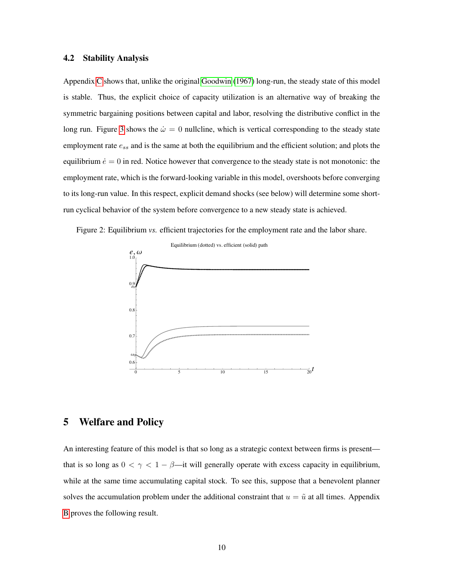#### $4.2$ **Stability Analysis**

Appendix C shows that, unlike the original Goodwin (1967) long-run, the steady state of this model is stable. Thus, the explicit choice of capacity utilization is an alternative way of breaking the symmetric bargaining positions between capital and labor, resolving the distributive conflict in the long run. Figure 3 shows the  $\dot{\omega} = 0$  nullcline, which is vertical corresponding to the steady state employment rate  $e_{ss}$  and is the same at both the equilibrium and the efficient solution; and plots the equilibrium  $\dot{e} = 0$  in red. Notice however that convergence to the steady state is not monotonic: the employment rate, which is the forward-looking variable in this model, overshoots before converging to its long-run value. In this respect, explicit demand shocks (see below) will determine some shortrun cyclical behavior of the system before convergence to a new steady state is achieved.

Figure 2: Equilibrium vs. efficient trajectories for the employment rate and the labor share.



#### **Welfare and Policy** 5

An interesting feature of this model is that so long as a strategic context between firms is present that is so long as  $0 < \gamma < 1 - \beta$ —it will generally operate with excess capacity in equilibrium, while at the same time accumulating capital stock. To see this, suppose that a benevolent planner solves the accumulation problem under the additional constraint that  $u = \tilde{u}$  at all times. Appendix B proves the following result.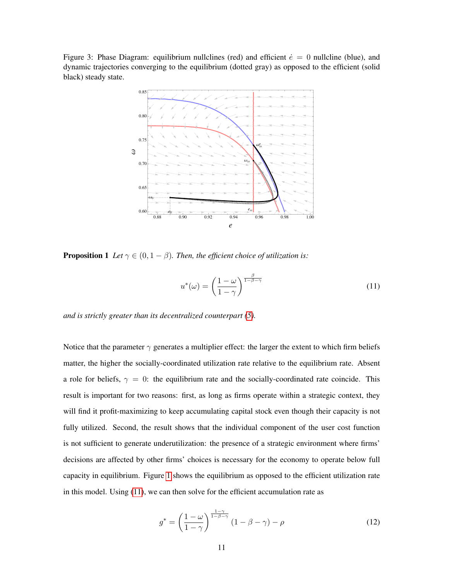<span id="page-11-0"></span>Figure 3: Phase Diagram: equilibrium nullclines (red) and efficient  $\dot{e} = 0$  nullcline (blue), and dynamic trajectories converging to the equilibrium (dotted gray) as opposed to the efficient (solid black) steady state.



**Proposition 1** Let  $\gamma \in (0, 1 - \beta)$ . Then, the efficient choice of utilization is:

<span id="page-11-1"></span>
$$
u^*(\omega) = \left(\frac{1-\omega}{1-\gamma}\right)^{\frac{\beta}{1-\beta-\gamma}}
$$
\n(11)

and is strictly greater than its decentralized counterpart  $(5)$ .

Notice that the parameter  $\gamma$  generates a multiplier effect: the larger the extent to which firm beliefs matter, the higher the socially-coordinated utilization rate relative to the equilibrium rate. Absent a role for beliefs,  $\gamma = 0$ : the equilibrium rate and the socially-coordinated rate coincide. This result is important for two reasons: first, as long as firms operate within a strategic context, they will find it profit-maximizing to keep accumulating capital stock even though their capacity is not fully utilized. Second, the result shows that the individual component of the user cost function is not sufficient to generate underutilization: the presence of a strategic environment where firms' decisions are affected by other firms' choices is necessary for the economy to operate below full capacity in equilibrium. Figure 1 shows the equilibrium as opposed to the efficient utilization rate in this model. Using  $(11)$ , we can then solve for the efficient accumulation rate as

<span id="page-11-2"></span>
$$
g^* = \left(\frac{1-\omega}{1-\gamma}\right)^{\frac{1-\gamma}{1-\beta-\gamma}} (1-\beta-\gamma) - \rho \tag{12}
$$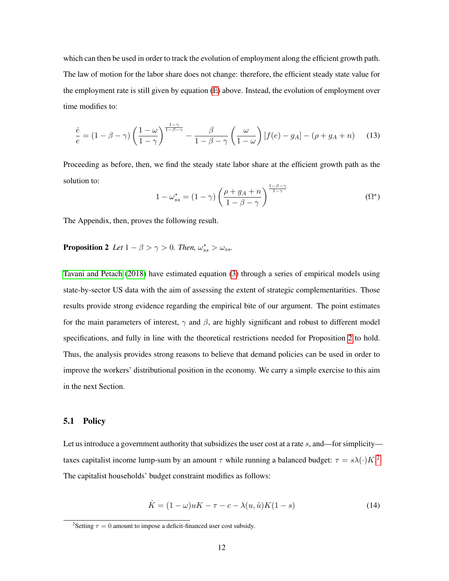which can then be used in order to track the evolution of employment along the efficient growth path. The law of motion for the labor share does not change: therefore, the efficient steady state value for the employment rate is still given by equation [\(E\)](#page-9-1) above. Instead, the evolution of employment over time modifies to:

$$
\frac{\dot{e}}{e} = (1 - \beta - \gamma) \left( \frac{1 - \omega}{1 - \gamma} \right)^{\frac{1 - \gamma}{1 - \beta - \gamma}} - \frac{\beta}{1 - \beta - \gamma} \left( \frac{\omega}{1 - \omega} \right) [f(e) - g_A] - (\rho + g_A + n) \tag{13}
$$

Proceeding as before, then, we find the steady state labor share at the efficient growth path as the solution to:

<span id="page-12-0"></span>
$$
1 - \omega_{ss}^* = (1 - \gamma) \left( \frac{\rho + g_A + n}{1 - \beta - \gamma} \right)^{\frac{1 - \beta - \gamma}{1 - \gamma}}
$$
(\Omega^\*)

The Appendix, then, proves the following result.

# **Proposition 2** Let  $1 - \beta > \gamma > 0$ . Then,  $\omega_{ss}^* > \omega_{ss}$ .

[Tavani and Petach](#page-20-4) [\(2018\)](#page-20-4) have estimated equation [\(3\)](#page-7-0) through a series of empirical models using state-by-sector US data with the aim of assessing the extent of strategic complementarities. Those results provide strong evidence regarding the empirical bite of our argument. The point estimates for the main parameters of interest,  $\gamma$  and  $\beta$ , are highly significant and robust to different model specifications, and fully in line with the theoretical restrictions needed for Proposition [2](#page-12-0) to hold. Thus, the analysis provides strong reasons to believe that demand policies can be used in order to improve the workers' distributional position in the economy. We carry a simple exercise to this aim in the next Section.

#### 5.1 Policy

Let us introduce a government authority that subsidizes the user cost at a rate s, and—for simplicity taxes capitalist income lump-sum by an amount  $\tau$  while running a balanced budget:  $\tau = s\lambda(\cdot)K$ . The capitalist households' budget constraint modifies as follows:

$$
\dot{K} = (1 - \omega)uK - \tau - c - \lambda(u, \tilde{u})K(1 - s)
$$
\n(14)

<span id="page-12-1"></span><sup>&</sup>lt;sup>2</sup>Setting  $\tau = 0$  amount to impose a deficit-financed user cost subsidy.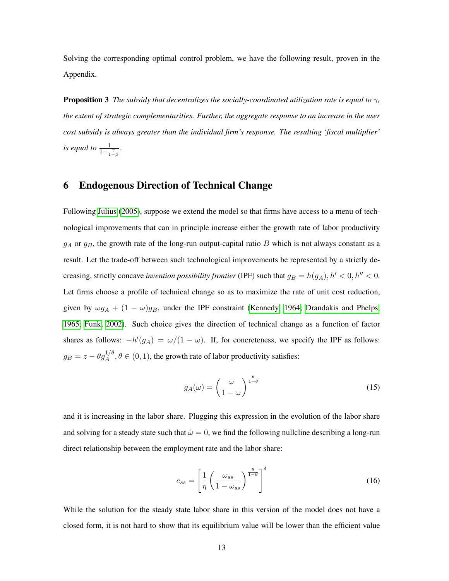Solving the corresponding optimal control problem, we have the following result, proven in the Appendix.

**Proposition 3** *The subsidy that decentralizes the socially-coordinated utilization rate is equal to*  $\gamma$ , *the extent of strategic complementarities. Further, the aggregate response to an increase in the user cost subsidy is always greater than the individual firm's response. The resulting 'fiscal multiplier' is equal to*  $\frac{1}{1-\frac{\gamma}{1-\beta}}$ .

## 6 Endogenous Direction of Technical Change

Following [Julius](#page-19-6) [\(2005\)](#page-19-6), suppose we extend the model so that firms have access to a menu of technological improvements that can in principle increase either the growth rate of labor productivity  $g_A$  or  $g_B$ , the growth rate of the long-run output-capital ratio B which is not always constant as a result. Let the trade-off between such technological improvements be represented by a strictly decreasing, strictly concave *invention possibility frontier* (IPF) such that  $g_B = h(g_A), h' < 0, h'' < 0$ . Let firms choose a profile of technical change so as to maximize the rate of unit cost reduction, given by  $\omega g_A + (1 - \omega) g_B$ , under the IPF constraint [\(Kennedy, 1964;](#page-19-7) [Drandakis and Phelps,](#page-18-2) [1965;](#page-18-2) [Funk, 2002\)](#page-19-9). Such choice gives the direction of technical change as a function of factor shares as follows:  $-h'(g_A) = \omega/(1-\omega)$ . If, for concreteness, we specify the IPF as follows:  $g_B = z - \theta g_A^{1/\theta}, \theta \in (0, 1)$ , the growth rate of labor productivity satisfies:

$$
g_A(\omega) = \left(\frac{\omega}{1-\omega}\right)^{\frac{\theta}{1-\theta}}
$$
\n(15)

and it is increasing in the labor share. Plugging this expression in the evolution of the labor share and solving for a steady state such that  $\dot{\omega} = 0$ , we find the following nullcline describing a long-run direct relationship between the employment rate and the labor share:

$$
e_{ss} = \left[\frac{1}{\eta} \left(\frac{\omega_{ss}}{1 - \omega_{ss}}\right)^{\frac{\theta}{1 - \theta}}\right]^{\delta} \tag{16}
$$

While the solution for the steady state labor share in this version of the model does not have a closed form, it is not hard to show that its equilibrium value will be lower than the efficient value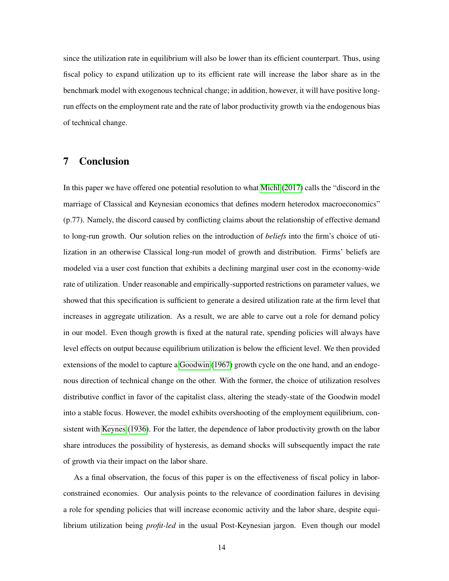since the utilization rate in equilibrium will also be lower than its efficient counterpart. Thus, using fiscal policy to expand utilization up to its efficient rate will increase the labor share as in the benchmark model with exogenous technical change; in addition, however, it will have positive longrun effects on the employment rate and the rate of labor productivity growth via the endogenous bias of technical change.

# 7 Conclusion

In this paper we have offered one potential resolution to what [Michl](#page-19-2) [\(2017\)](#page-19-2) calls the "discord in the marriage of Classical and Keynesian economics that defines modern heterodox macroeconomics" (p.77). Namely, the discord caused by conflicting claims about the relationship of effective demand to long-run growth. Our solution relies on the introduction of *beliefs* into the firm's choice of utilization in an otherwise Classical long-run model of growth and distribution. Firms' beliefs are modeled via a user cost function that exhibits a declining marginal user cost in the economy-wide rate of utilization. Under reasonable and empirically-supported restrictions on parameter values, we showed that this specification is sufficient to generate a desired utilization rate at the firm level that increases in aggregate utilization. As a result, we are able to carve out a role for demand policy in our model. Even though growth is fixed at the natural rate, spending policies will always have level effects on output because equilibrium utilization is below the efficient level. We then provided extensions of the model to capture a [Goodwin](#page-19-1) [\(1967\)](#page-19-1) growth cycle on the one hand, and an endogenous direction of technical change on the other. With the former, the choice of utilization resolves distributive conflict in favor of the capitalist class, altering the steady-state of the Goodwin model into a stable focus. However, the model exhibits overshooting of the employment equilibrium, consistent with [Keynes](#page-19-3) [\(1936\)](#page-19-3). For the latter, the dependence of labor productivity growth on the labor share introduces the possibility of hysteresis, as demand shocks will subsequently impact the rate of growth via their impact on the labor share.

As a final observation, the focus of this paper is on the effectiveness of fiscal policy in laborconstrained economies. Our analysis points to the relevance of coordination failures in devising a role for spending policies that will increase economic activity and the labor share, despite equilibrium utilization being *profit-led* in the usual Post-Keynesian jargon. Even though our model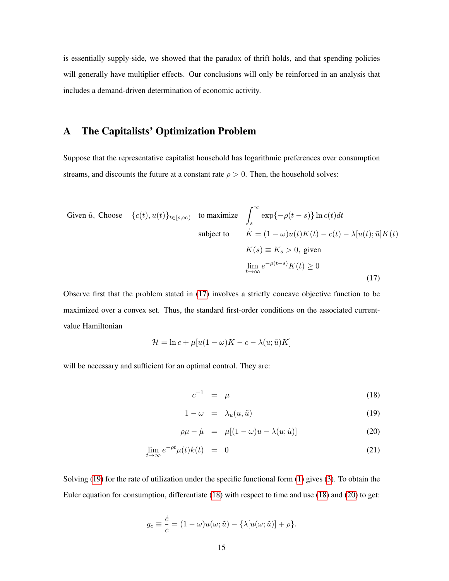is essentially supply-side, we showed that the paradox of thrift holds, and that spending policies will generally have multiplier effects. Our conclusions will only be reinforced in an analysis that includes a demand-driven determination of economic activity.

# <span id="page-15-0"></span>A The Capitalists' Optimization Problem

Suppose that the representative capitalist household has logarithmic preferences over consumption streams, and discounts the future at a constant rate  $\rho > 0$ . Then, the household solves:

<span id="page-15-1"></span>Given 
$$
\tilde{u}
$$
, Choose  $\{c(t), u(t)\}_{t \in [s,\infty)}$  to maximize  $\int_{s}^{\infty} \exp\{-\rho(t-s)\} \ln c(t) dt$   
\nsubject to  $\dot{K} = (1 - \omega)u(t)K(t) - c(t) - \lambda[u(t); \tilde{u}]K(t)$   
\n $K(s) \equiv K_s > 0$ , given  
\n
$$
\lim_{t \to \infty} e^{-\rho(t-s)}K(t) \ge 0
$$
\n(17)

Observe first that the problem stated in [\(17\)](#page-15-1) involves a strictly concave objective function to be maximized over a convex set. Thus, the standard first-order conditions on the associated currentvalue Hamiltonian

$$
\mathcal{H} = \ln c + \mu[u(1-\omega)K - c - \lambda(u;\tilde{u})K]
$$

will be necessary and sufficient for an optimal control. They are:

<span id="page-15-2"></span>
$$
c^{-1} = \mu \tag{18}
$$

$$
1 - \omega = \lambda_u(u, \tilde{u}) \tag{19}
$$

$$
\rho \mu - \dot{\mu} = \mu [(1 - \omega)u - \lambda(u; \tilde{u})] \tag{20}
$$

$$
\lim_{t \to \infty} e^{-\rho t} \mu(t) k(t) = 0 \tag{21}
$$

Solving [\(19\)](#page-15-2) for the rate of utilization under the specific functional form [\(1\)](#page-6-1) gives [\(3\)](#page-7-0). To obtain the Euler equation for consumption, differentiate [\(18\)](#page-15-2) with respect to time and use [\(18\)](#page-15-2) and [\(20\)](#page-15-2) to get:

$$
g_c \equiv \frac{\dot{c}}{c} = (1 - \omega)u(\omega; \tilde{u}) - {\lambda[u(\omega; \tilde{u})] + \rho}.
$$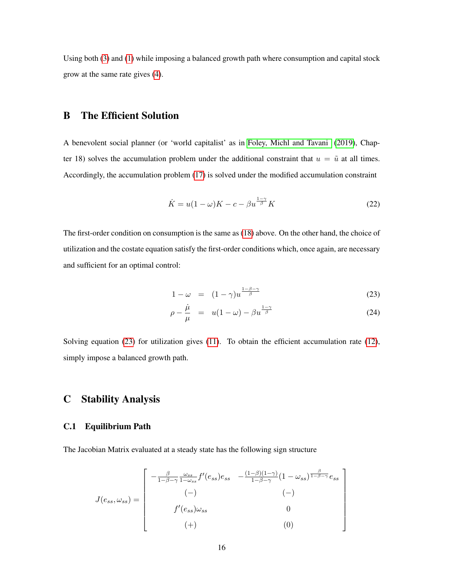Using both [\(3\)](#page-7-0) and [\(1\)](#page-6-1) while imposing a balanced growth path where consumption and capital stock grow at the same rate gives [\(4\)](#page-7-2).

# <span id="page-16-1"></span>B The Efficient Solution

A benevolent social planner (or 'world capitalist' as in [Foley, Michl and Tavani](#page-19-8) [\(2019\)](#page-19-8), Chapter 18) solves the accumulation problem under the additional constraint that  $u = \tilde{u}$  at all times. Accordingly, the accumulation problem [\(17\)](#page-15-1) is solved under the modified accumulation constraint

$$
\dot{K} = u(1 - \omega)K - c - \beta u^{\frac{1 - \gamma}{\beta}}K\tag{22}
$$

The first-order condition on consumption is the same as [\(18\)](#page-15-2) above. On the other hand, the choice of utilization and the costate equation satisfy the first-order conditions which, once again, are necessary and sufficient for an optimal control:

<span id="page-16-2"></span>
$$
1 - \omega = (1 - \gamma)u^{\frac{1 - \beta - \gamma}{\beta}}
$$
 (23)

$$
\rho - \frac{\dot{\mu}}{\mu} = u(1 - \omega) - \beta u^{\frac{1 - \gamma}{\beta}}
$$
\n(24)

1  $\mathbf{I}$  $\vert$  $\parallel$  $\vert$  $\vert$  $\begin{array}{c} \end{array}$  $\vert$  $\vert$ 

Solving equation [\(23\)](#page-16-2) for utilization gives [\(11\)](#page-11-1). To obtain the efficient accumulation rate [\(12\)](#page-11-2), simply impose a balanced growth path.

# <span id="page-16-0"></span>C Stability Analysis

#### C.1 Equilibrium Path

The Jacobian Matrix evaluated at a steady state has the following sign structure

$$
J(e_{ss}, \omega_{ss}) = \begin{bmatrix} -\frac{\beta}{1-\beta-\gamma} \frac{\omega_{ss}}{1-\omega_{ss}} f'(e_{ss}) e_{ss} & -\frac{(1-\beta)(1-\gamma)}{1-\beta-\gamma} (1-\omega_{ss})^{\frac{\beta}{1-\beta-\gamma}} e_{ss} \\ (-) & (-) & (-) \\ f'(e_{ss}) \omega_{ss} & 0 \\ (+) & (0) \end{bmatrix}
$$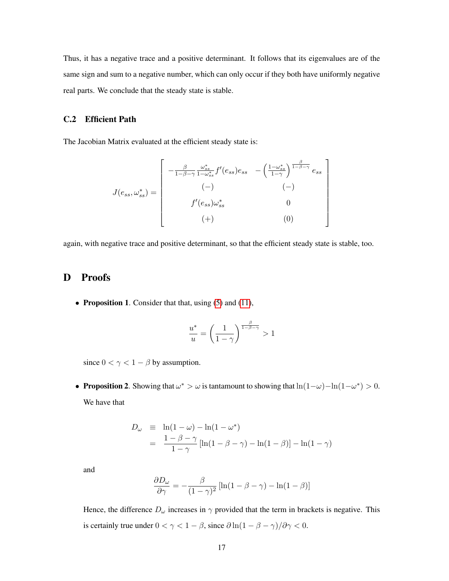Thus, it has a negative trace and a positive determinant. It follows that its eigenvalues are of the same sign and sum to a negative number, which can only occur if they both have uniformly negative real parts. We conclude that the steady state is stable.

#### C.2 Efficient Path

The Jacobian Matrix evaluated at the efficient steady state is:

$$
J(e_{ss}, \omega_{ss}^*) = \begin{bmatrix} -\frac{\beta}{1-\beta-\gamma} \frac{\omega_{ss}^*}{1-\omega_{ss}^*} f'(e_{ss}) e_{ss} & -\left(\frac{1-\omega_{ss}^*}{1-\gamma}\right)^{\frac{\beta}{1-\beta-\gamma}} e_{ss} \\ (-) & (-) & (-) \\ f'(e_{ss}) \omega_{ss}^* & 0 \\ (+) & (0) \end{bmatrix}
$$

again, with negative trace and positive determinant, so that the efficient steady state is stable, too.

### D Proofs

• Proposition 1. Consider that that, using  $(5)$  and  $(11)$ ,

$$
\frac{u^*}{u} = \left(\frac{1}{1-\gamma}\right)^{\frac{\beta}{1-\beta-\gamma}} > 1
$$

since  $0 < \gamma < 1 - \beta$  by assumption.

• Proposition 2. Showing that  $\omega^* > \omega$  is tantamount to showing that  $\ln(1-\omega) - \ln(1-\omega^*) > 0$ . We have that

$$
D_{\omega} \equiv \ln(1 - \omega) - \ln(1 - \omega^*)
$$
  
= 
$$
\frac{1 - \beta - \gamma}{1 - \gamma} [\ln(1 - \beta - \gamma) - \ln(1 - \beta)] - \ln(1 - \gamma)
$$

and

$$
\frac{\partial D_{\omega}}{\partial \gamma} = -\frac{\beta}{(1-\gamma)^2} \left[ \ln(1-\beta-\gamma) - \ln(1-\beta) \right]
$$

Hence, the difference  $D_{\omega}$  increases in  $\gamma$  provided that the term in brackets is negative. This is certainly true under  $0 < \gamma < 1 - \beta$ , since  $\frac{\partial \ln(1 - \beta - \gamma)}{\partial \gamma} < 0$ .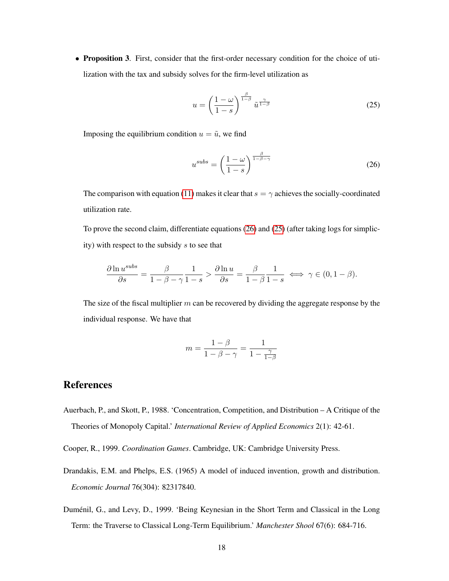• Proposition 3. First, consider that the first-order necessary condition for the choice of utilization with the tax and subsidy solves for the firm-level utilization as

<span id="page-18-4"></span>
$$
u = \left(\frac{1-\omega}{1-s}\right)^{\frac{\beta}{1-\beta}} \tilde{u}^{\frac{\gamma}{1-\beta}}
$$
 (25)

Imposing the equilibrium condition  $u = \tilde{u}$ , we find

<span id="page-18-3"></span>
$$
u^{subs} = \left(\frac{1-\omega}{1-s}\right)^{\frac{\beta}{1-\beta-\gamma}}
$$
 (26)

The comparison with equation [\(11\)](#page-11-1) makes it clear that  $s = \gamma$  achieves the socially-coordinated utilization rate.

To prove the second claim, differentiate equations [\(26\)](#page-18-3) and [\(25\)](#page-18-4) (after taking logs for simplicity) with respect to the subsidy s to see that

$$
\frac{\partial \ln u^{subs}}{\partial s} = \frac{\beta}{1 - \beta - \gamma} \frac{1}{1 - s} > \frac{\partial \ln u}{\partial s} = \frac{\beta}{1 - \beta} \frac{1}{1 - s} \iff \gamma \in (0, 1 - \beta).
$$

The size of the fiscal multiplier  $m$  can be recovered by dividing the aggregate response by the individual response. We have that

$$
m = \frac{1 - \beta}{1 - \beta - \gamma} = \frac{1}{1 - \frac{\gamma}{1 - \beta}}
$$

# References

Auerbach, P., and Skott, P., 1988. 'Concentration, Competition, and Distribution – A Critique of the Theories of Monopoly Capital.' *International Review of Applied Economics* 2(1): 42-61.

<span id="page-18-1"></span>Cooper, R., 1999. *Coordination Games*. Cambridge, UK: Cambridge University Press.

- <span id="page-18-2"></span>Drandakis, E.M. and Phelps, E.S. (1965) A model of induced invention, growth and distribution. *Economic Journal* 76(304): 82317840.
- <span id="page-18-0"></span>Duménil, G., and Levy, D., 1999. 'Being Keynesian in the Short Term and Classical in the Long Term: the Traverse to Classical Long-Term Equilibrium.' *Manchester Shool* 67(6): 684-716.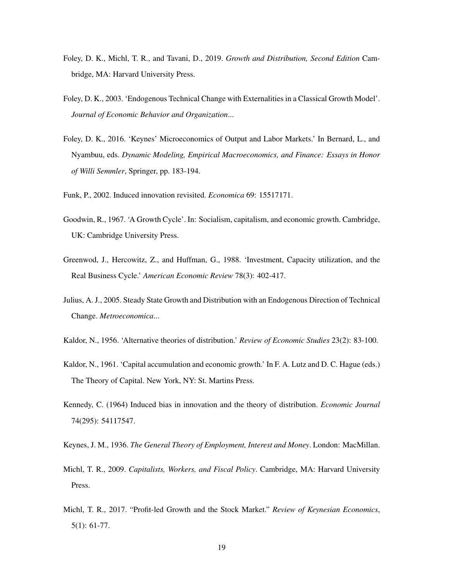- <span id="page-19-8"></span>Foley, D. K., Michl, T. R., and Tavani, D., 2019. *Growth and Distribution, Second Edition* Cambridge, MA: Harvard University Press.
- <span id="page-19-5"></span>Foley, D. K., 2003. 'Endogenous Technical Change with Externalities in a Classical Growth Model'. *Journal of Economic Behavior and Organization*...
- Foley, D. K., 2016. 'Keynes' Microeconomics of Output and Labor Markets.' In Bernard, L., and Nyambuu, eds. *Dynamic Modeling, Empirical Macroeconomics, and Finance: Essays in Honor of Willi Semmler*, Springer, pp. 183-194.
- <span id="page-19-9"></span>Funk, P., 2002. Induced innovation revisited. *Economica* 69: 15517171.
- <span id="page-19-1"></span>Goodwin, R., 1967. 'A Growth Cycle'. In: Socialism, capitalism, and economic growth. Cambridge, UK: Cambridge University Press.
- <span id="page-19-4"></span>Greenwod, J., Hercowitz, Z., and Huffman, G., 1988. 'Investment, Capacity utilization, and the Real Business Cycle.' *American Economic Review* 78(3): 402-417.
- <span id="page-19-6"></span>Julius, A. J., 2005. Steady State Growth and Distribution with an Endogenous Direction of Technical Change. *Metroeconomica*...
- <span id="page-19-0"></span>Kaldor, N., 1956. 'Alternative theories of distribution.' *Review of Economic Studies* 23(2): 83-100.
- Kaldor, N., 1961. 'Capital accumulation and economic growth.' In F. A. Lutz and D. C. Hague (eds.) The Theory of Capital. New York, NY: St. Martins Press.
- <span id="page-19-7"></span>Kennedy, C. (1964) Induced bias in innovation and the theory of distribution. *Economic Journal* 74(295): 54117547.
- <span id="page-19-3"></span>Keynes, J. M., 1936. *The General Theory of Employment, Interest and Money*. London: MacMillan.
- Michl, T. R., 2009. *Capitalists, Workers, and Fiscal Policy*. Cambridge, MA: Harvard University Press.
- <span id="page-19-2"></span>Michl, T. R., 2017. "Profit-led Growth and the Stock Market." *Review of Keynesian Economics*, 5(1): 61-77.